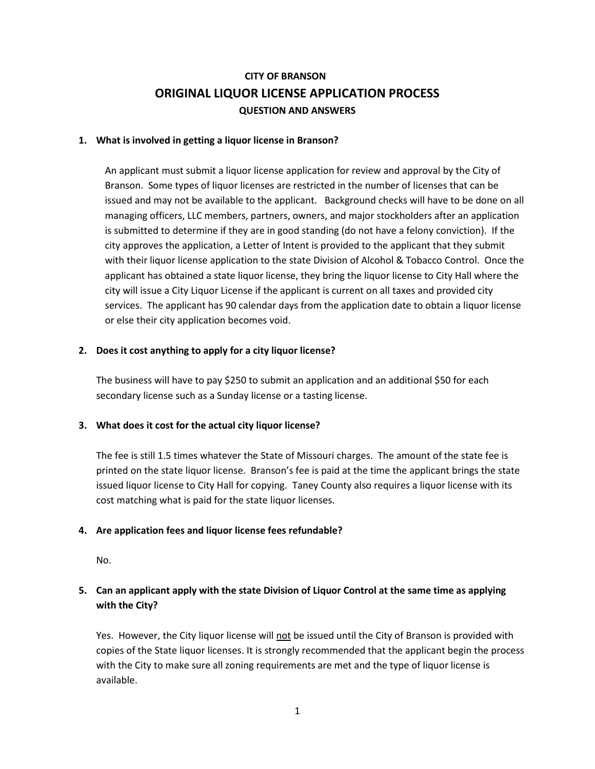# **CITY OF BRANSON ORIGINAL LIQUOR LICENSE APPLICATION PROCESS QUESTION AND ANSWERS**

#### **1. What is involved in getting a liquor license in Branson?**

An applicant must submit a liquor license application for review and approval by the City of Branson. Some types of liquor licenses are restricted in the number of licenses that can be issued and may not be available to the applicant. Background checks will have to be done on all managing officers, LLC members, partners, owners, and major stockholders after an application is submitted to determine if they are in good standing (do not have a felony conviction). If the city approves the application, a Letter of Intent is provided to the applicant that they submit with their liquor license application to the state Division of Alcohol & Tobacco Control. Once the applicant has obtained a state liquor license, they bring the liquor license to City Hall where the city will issue a City Liquor License if the applicant is current on all taxes and provided city services. The applicant has 90 calendar days from the application date to obtain a liquor license or else their city application becomes void.

### **2. Does it cost anything to apply for a city liquor license?**

The business will have to pay \$250 to submit an application and an additional \$50 for each secondary license such as a Sunday license or a tasting license.

### **3. What does it cost for the actual city liquor license?**

The fee is still 1.5 times whatever the State of Missouri charges. The amount of the state fee is printed on the state liquor license. Branson's fee is paid at the time the applicant brings the state issued liquor license to City Hall for copying. Taney County also requires a liquor license with its cost matching what is paid for the state liquor licenses.

### **4. Are application fees and liquor license fees refundable?**

No.

## **5. Can an applicant apply with the state Division of Liquor Control at the same time as applying with the City?**

Yes. However, the City liquor license will not be issued until the City of Branson is provided with copies of the State liquor licenses. It is strongly recommended that the applicant begin the process with the City to make sure all zoning requirements are met and the type of liquor license is available.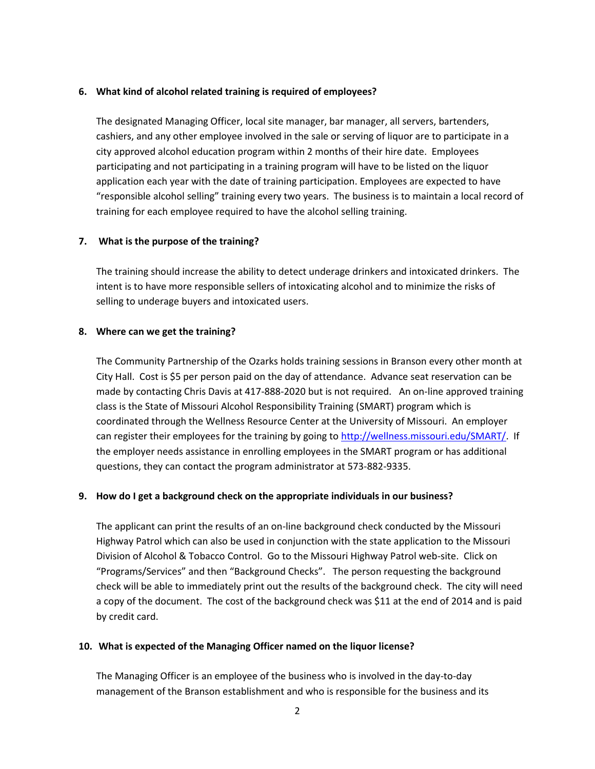#### **6. What kind of alcohol related training is required of employees?**

The designated Managing Officer, local site manager, bar manager, all servers, bartenders, cashiers, and any other employee involved in the sale or serving of liquor are to participate in a city approved alcohol education program within 2 months of their hire date. Employees participating and not participating in a training program will have to be listed on the liquor application each year with the date of training participation. Employees are expected to have "responsible alcohol selling" training every two years. The business is to maintain a local record of training for each employee required to have the alcohol selling training.

### **7. What is the purpose of the training?**

The training should increase the ability to detect underage drinkers and intoxicated drinkers. The intent is to have more responsible sellers of intoxicating alcohol and to minimize the risks of selling to underage buyers and intoxicated users.

#### **8. Where can we get the training?**

The Community Partnership of the Ozarks holds training sessions in Branson every other month at City Hall. Cost is \$5 per person paid on the day of attendance. Advance seat reservation can be made by contacting Chris Davis at 417-888-2020 but is not required. An on-line approved training class is the State of Missouri Alcohol Responsibility Training (SMART) program which is coordinated through the Wellness Resource Center at the University of Missouri. An employer can register their employees for the training by going to [http://wellness.missouri.edu/SMART/.](http://wellness.missouri.edu/SMART/) If the employer needs assistance in enrolling employees in the SMART program or has additional questions, they can contact the program administrator at 573-882-9335.

### **9. How do I get a background check on the appropriate individuals in our business?**

The applicant can print the results of an on-line background check conducted by the Missouri Highway Patrol which can also be used in conjunction with the state application to the Missouri Division of Alcohol & Tobacco Control. Go to the Missouri Highway Patrol web-site. Click on "Programs/Services" and then "Background Checks". The person requesting the background check will be able to immediately print out the results of the background check. The city will need a copy of the document. The cost of the background check was \$11 at the end of 2014 and is paid by credit card.

### **10. What is expected of the Managing Officer named on the liquor license?**

The Managing Officer is an employee of the business who is involved in the day-to-day management of the Branson establishment and who is responsible for the business and its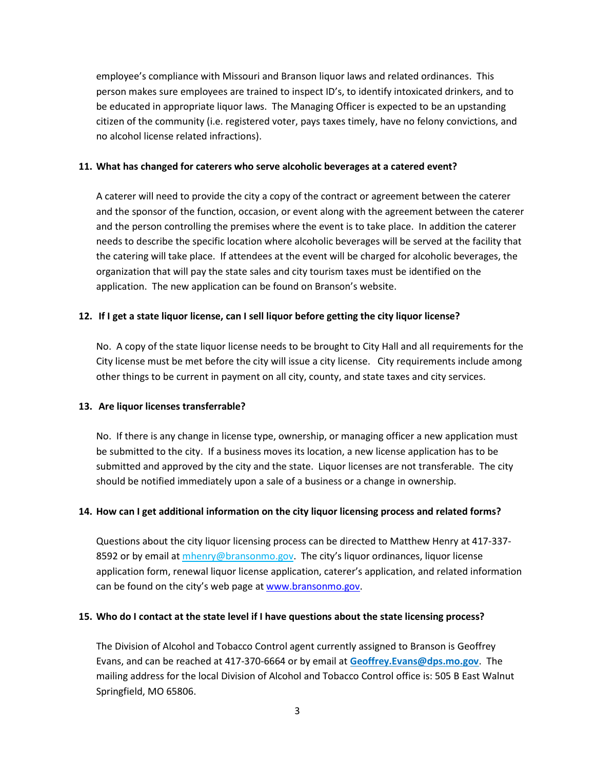employee's compliance with Missouri and Branson liquor laws and related ordinances. This person makes sure employees are trained to inspect ID's, to identify intoxicated drinkers, and to be educated in appropriate liquor laws. The Managing Officer is expected to be an upstanding citizen of the community (i.e. registered voter, pays taxes timely, have no felony convictions, and no alcohol license related infractions).

#### **11. What has changed for caterers who serve alcoholic beverages at a catered event?**

A caterer will need to provide the city a copy of the contract or agreement between the caterer and the sponsor of the function, occasion, or event along with the agreement between the caterer and the person controlling the premises where the event is to take place. In addition the caterer needs to describe the specific location where alcoholic beverages will be served at the facility that the catering will take place. If attendees at the event will be charged for alcoholic beverages, the organization that will pay the state sales and city tourism taxes must be identified on the application. The new application can be found on Branson's website.

### **12. If I get a state liquor license, can I sell liquor before getting the city liquor license?**

No. A copy of the state liquor license needs to be brought to City Hall and all requirements for the City license must be met before the city will issue a city license. City requirements include among other things to be current in payment on all city, county, and state taxes and city services.

### **13. Are liquor licenses transferrable?**

No. If there is any change in license type, ownership, or managing officer a new application must be submitted to the city. If a business moves its location, a new license application has to be submitted and approved by the city and the state. Liquor licenses are not transferable. The city should be notified immediately upon a sale of a business or a change in ownership.

### **14. How can I get additional information on the city liquor licensing process and related forms?**

Questions about the city liquor licensing process can be directed to Matthew Henry at 417-337- 8592 or by email at mhenry@bransonmo.gov. The city's liquor ordinances, liquor license application form, renewal liquor license application, caterer's application, and related information can be found on the city's web page at [www.bransonmo.gov.](http://www.bransonmo.gov/)

#### **15. Who do I contact at the state level if I have questions about the state licensing process?**

The Division of Alcohol and Tobacco Control agent currently assigned to Branson is Geoffrey Evans, and can be reached at 417-370-6664 or by email at **Geoffrey.Evans@dps.mo.gov**. The mailing address for the local Division of Alcohol and Tobacco Control office is: 505 B East Walnut Springfield, MO 65806.